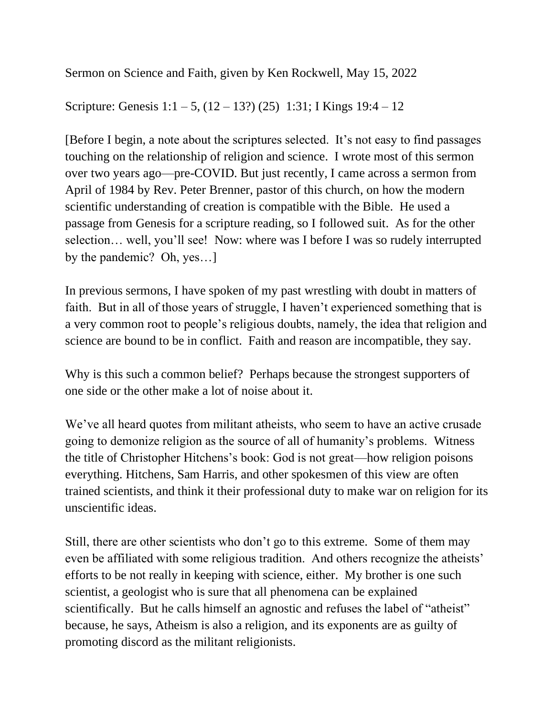Sermon on Science and Faith, given by Ken Rockwell, May 15, 2022

Scripture: Genesis  $1:1 - 5$ ,  $(12 - 13?) (25)$  1:31; I Kings 19:4 – 12

[Before I begin, a note about the scriptures selected. It's not easy to find passages touching on the relationship of religion and science. I wrote most of this sermon over two years ago—pre-COVID. But just recently, I came across a sermon from April of 1984 by Rev. Peter Brenner, pastor of this church, on how the modern scientific understanding of creation is compatible with the Bible. He used a passage from Genesis for a scripture reading, so I followed suit. As for the other selection… well, you'll see! Now: where was I before I was so rudely interrupted by the pandemic? Oh, yes…]

In previous sermons, I have spoken of my past wrestling with doubt in matters of faith. But in all of those years of struggle, I haven't experienced something that is a very common root to people's religious doubts, namely, the idea that religion and science are bound to be in conflict. Faith and reason are incompatible, they say.

Why is this such a common belief? Perhaps because the strongest supporters of one side or the other make a lot of noise about it.

We've all heard quotes from militant atheists, who seem to have an active crusade going to demonize religion as the source of all of humanity's problems. Witness the title of Christopher Hitchens's book: God is not great—how religion poisons everything. Hitchens, Sam Harris, and other spokesmen of this view are often trained scientists, and think it their professional duty to make war on religion for its unscientific ideas.

Still, there are other scientists who don't go to this extreme. Some of them may even be affiliated with some religious tradition. And others recognize the atheists' efforts to be not really in keeping with science, either. My brother is one such scientist, a geologist who is sure that all phenomena can be explained scientifically. But he calls himself an agnostic and refuses the label of "atheist" because, he says, Atheism is also a religion, and its exponents are as guilty of promoting discord as the militant religionists.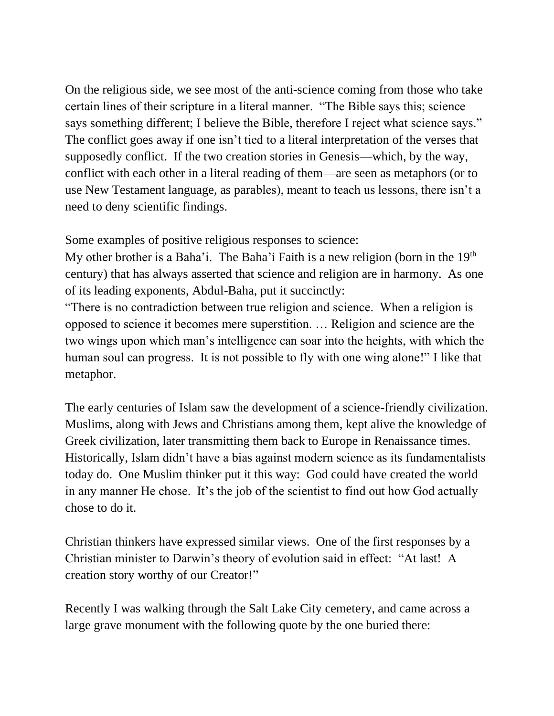On the religious side, we see most of the anti-science coming from those who take certain lines of their scripture in a literal manner. "The Bible says this; science says something different; I believe the Bible, therefore I reject what science says." The conflict goes away if one isn't tied to a literal interpretation of the verses that supposedly conflict. If the two creation stories in Genesis—which, by the way, conflict with each other in a literal reading of them—are seen as metaphors (or to use New Testament language, as parables), meant to teach us lessons, there isn't a need to deny scientific findings.

Some examples of positive religious responses to science:

My other brother is a Baha'i. The Baha'i Faith is a new religion (born in the 19<sup>th</sup>) century) that has always asserted that science and religion are in harmony. As one of its leading exponents, Abdul-Baha, put it succinctly:

"There is no contradiction between true religion and science. When a religion is opposed to science it becomes mere superstition. … Religion and science are the two wings upon which man's intelligence can soar into the heights, with which the human soul can progress. It is not possible to fly with one wing alone!" I like that metaphor.

The early centuries of Islam saw the development of a science-friendly civilization. Muslims, along with Jews and Christians among them, kept alive the knowledge of Greek civilization, later transmitting them back to Europe in Renaissance times. Historically, Islam didn't have a bias against modern science as its fundamentalists today do. One Muslim thinker put it this way: God could have created the world in any manner He chose. It's the job of the scientist to find out how God actually chose to do it.

Christian thinkers have expressed similar views. One of the first responses by a Christian minister to Darwin's theory of evolution said in effect: "At last! A creation story worthy of our Creator!"

Recently I was walking through the Salt Lake City cemetery, and came across a large grave monument with the following quote by the one buried there: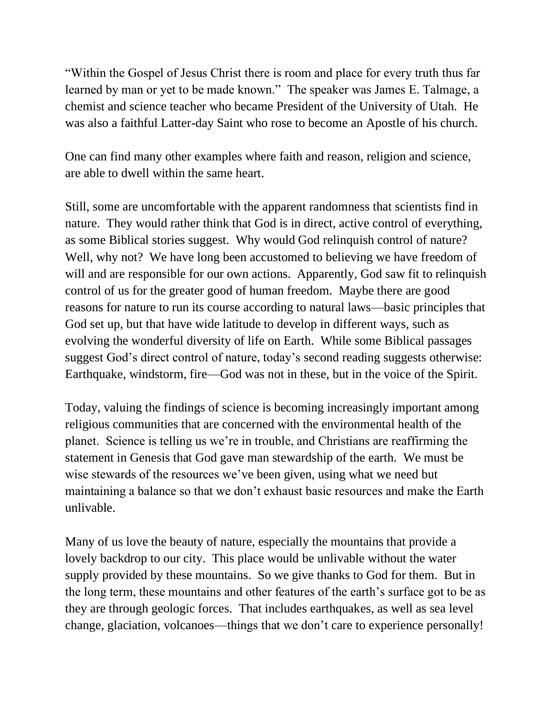"Within the Gospel of Jesus Christ there is room and place for every truth thus far learned by man or yet to be made known." The speaker was James E. Talmage, a chemist and science teacher who became President of the University of Utah. He was also a faithful Latter-day Saint who rose to become an Apostle of his church.

One can find many other examples where faith and reason, religion and science, are able to dwell within the same heart.

Still, some are uncomfortable with the apparent randomness that scientists find in nature. They would rather think that God is in direct, active control of everything, as some Biblical stories suggest. Why would God relinquish control of nature? Well, why not? We have long been accustomed to believing we have freedom of will and are responsible for our own actions. Apparently, God saw fit to relinquish control of us for the greater good of human freedom. Maybe there are good reasons for nature to run its course according to natural laws—basic principles that God set up, but that have wide latitude to develop in different ways, such as evolving the wonderful diversity of life on Earth. While some Biblical passages suggest God's direct control of nature, today's second reading suggests otherwise: Earthquake, windstorm, fire—God was not in these, but in the voice of the Spirit.

Today, valuing the findings of science is becoming increasingly important among religious communities that are concerned with the environmental health of the planet. Science is telling us we're in trouble, and Christians are reaffirming the statement in Genesis that God gave man stewardship of the earth. We must be wise stewards of the resources we've been given, using what we need but maintaining a balance so that we don't exhaust basic resources and make the Earth unlivable.

Many of us love the beauty of nature, especially the mountains that provide a lovely backdrop to our city. This place would be unlivable without the water supply provided by these mountains. So we give thanks to God for them. But in the long term, these mountains and other features of the earth's surface got to be as they are through geologic forces. That includes earthquakes, as well as sea level change, glaciation, volcanoes—things that we don't care to experience personally!